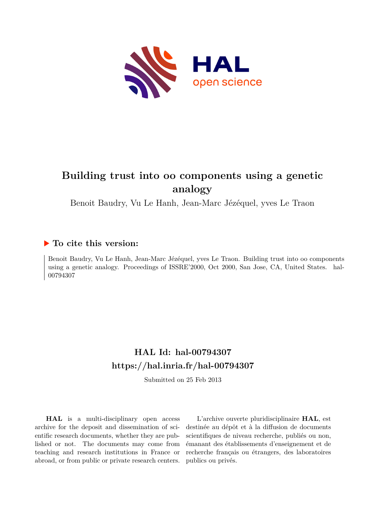

# **Building trust into oo components using a genetic analogy**

Benoit Baudry, Vu Le Hanh, Jean-Marc Jézéquel, yves Le Traon

## **To cite this version:**

Benoit Baudry, Vu Le Hanh, Jean-Marc Jézéquel, yves Le Traon. Building trust into oo components using a genetic analogy. Proceedings of ISSRE'2000, Oct 2000, San Jose, CA, United States. hal-00794307ff

## **HAL Id: hal-00794307 <https://hal.inria.fr/hal-00794307>**

Submitted on 25 Feb 2013

**HAL** is a multi-disciplinary open access archive for the deposit and dissemination of scientific research documents, whether they are published or not. The documents may come from teaching and research institutions in France or abroad, or from public or private research centers.

L'archive ouverte pluridisciplinaire **HAL**, est destinée au dépôt et à la diffusion de documents scientifiques de niveau recherche, publiés ou non, émanant des établissements d'enseignement et de recherche français ou étrangers, des laboratoires publics ou privés.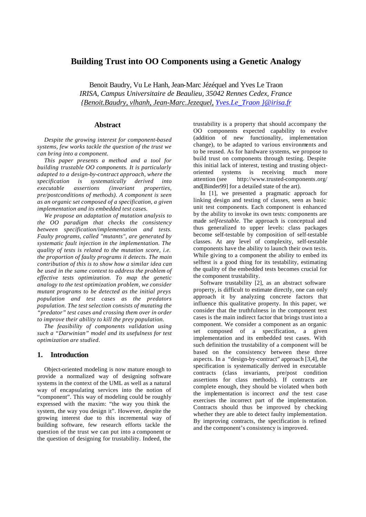## **Building Trust into OO Components using a Genetic Analogy**

Benoit Baudry, Vu Le Hanh, Jean-Marc Jézéquel and Yves Le Traon *IRISA, Campus Universitaire de Beaulieu, 35042 Rennes Cedex, France {Benoit.Baudry, vlhanh, Jean-Marc.Jezequel, Yves.Le\_Traon }@irisa.fr*

## **Abstract**

*Despite the growing interest for component-based systems, few works tackle the question of the trust we can bring into a component.*

*This paper presents a method and a tool for building trustable OO components. It is particularly adapted to a design-by-contract approach, where the specification is systematically derived into executable assertions (invariant properties, pre/postconditions of methods). A component is seen as an organic set composed of a specification, a given implementation and its embedded test cases.* 

*We propose an adaptation of mutation analysis to the OO paradigm that checks the consistency between specification/implementation and tests. Faulty programs, called "mutants", are generated by systematic fault injection in the implementation. The quality of tests is related to the mutation score, i.e. the proportion of faulty programs it detects. The main contribution of this is to show how a similar idea can be used in the same context to address the problem of effective tests optimization. To map the genetic analogy to the test optimization problem, we consider mutant programs to be detected as the initial preys population and test cases as the predators population. The test selection consists of mutating the "predator" test cases and crossing them over in order to improve their ability to kill the prey population.* 

*The feasibility of components validation using such a "Darwinian" model and its usefulness for test optimization are studied.*

## **1. Introduction**

Object-oriented modeling is now mature enough to provide a normalized way of designing software systems in the context of the UML as well as a natural way of encapsulating services into the notion of "component". This way of modeling could be roughly expressed with the maxim: "the way you think the system, the way you design it". However, despite the growing interest due to this incremental way of building software, few research efforts tackle the question of the trust we can put into a component or the question of designing for trustability. Indeed, the

trustability is a property that should accompany the OO components expected capability to evolve (addition of new functionality, implementation change), to be adapted to various environments and to be reused. As for hardware systems, we propose to build trust on components through testing. Despite this initial lack of interest, testing and trusting objectoriented systems is receiving much more attention (see http://www.trusted-components.org/ and[Binder99] for a detailed state of the art).

In [1], we presented a pragmatic approach for linking design and testing of classes, seen as basic unit test components. Each component is enhanced by the ability to invoke its own tests: components are made *self-testable*. The approach is conceptual and thus generalized to upper levels: class packages become self-testable by composition of self-testable classes. At any level of complexity, self-testable components have the ability to launch their own tests. While giving to a component the ability to embed its selftest is a good thing for its testability, estimating the quality of the embedded tests becomes crucial for the component trustability.

Software trustability [2], as an abstract software property, is difficult to estimate directly, one can only approach it by analyzing concrete factors that influence this qualitative property. In this paper, we consider that the truthfulness in the component test cases is the main indirect factor that brings trust into a component. We consider a component as an organic set composed of a specification, a given implementation and its embedded test cases. With such definition the trustability of a component will be based on the consistency between these three aspects. In a "design-by-contract" approach [3,4], the specification is systematically derived in executable contracts (class invariants, pre/post condition assertions for class methods). If contracts are complete enough, they should be violated when both the implementation is incorrect *and* the test case exercises the incorrect part of the implementation. Contracts should thus be improved by checking whether they are able to detect faulty implementation. By improving contracts, the specification is refined and the component's consistency is improved.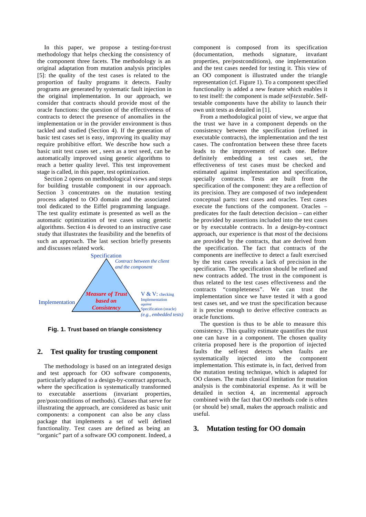In this paper, we propose a testing-for-trust methodology that helps checking the consistency of the component three facets. The methodology is an original adaptation from mutation analysis principles [5]: the quality of the test cases is related to the proportion of faulty programs it detects. Faulty programs are generated by systematic fault injection in the original implementation. In our approach, we consider that contracts should provide most of the oracle functions: the question of the effectiveness of contracts to detect the presence of anomalies in the implementation or in the provider environment is thus tackled and studied (Section 4). If the generation of basic test cases set is easy, improving its quality may require prohibitive effort. We describe how such a basic unit test cases set , seen as a test seed, can be automatically improved using genetic algorithms to reach a better quality level. This test improvement stage is called, in this paper, test optimization.

Section 2 opens on methodological views and steps for building trustable component in our approach. Section 3 concentrates on the mutation testing process adapted to OO domain and the associated tool dedicated to the Eiffel programming language. The test quality estimate is presented as well as the automatic optimization of test cases using genetic algorithms. Section 4 is devoted to an instructive case study that illustrates the feasibility and the benefits of such an approach. The last section briefly presents and discusses related work.



**Fig. 1. Trust based on triangle consistency**

## **2. Test quality for trusting component**

The methodology is based on an integrated design and test approach for OO software components, particularly adapted to a design-by-contract approach, where the specification is systematically transformed to executable assertions (invariant properties, pre/postconditions of methods). Classes that serve for illustrating the approach, are considered as basic unit components: a component can also be any class package that implements a set of well defined functionality. Test cases are defined as being an "organic" part of a software OO component. Indeed, a

component is composed from its specification (documentation, methods signature, invariant properties, pre/postconditions), one implementation and the test cases needed for testing it. This view of an OO component is illustrated under the triangle representation (cf. Figure 1). To a component specified functionality is added a new feature which enables it to test itself: the component is made *self-testable*. Selftestable components have the ability to launch their own unit tests as detailed in [1].

From a methodological point of view, we argue that the trust we have in a component depends on the consistency between the specification (refined in executable contracts), the implementation and the test cases. The confrontation between these three facets leads to the improvement of each one. Before definitely embedding a test cases set, the effectiveness of test cases must be checked and estimated against implementation and specification, specially contracts. Tests are built from the specification of the component: they are a reflection of its precision. They are composed of two independent conceptual parts: test cases and oracles. Test cases execute the functions of the component. Oracles – predicates for the fault detection decision – can either be provided by assertions included into the test cases or by executable contracts. In a design-by-contract approach, our experience is that *most* of the decisions are provided by the contracts, that are derived from the specification. The fact that contracts of the components are ineffective to detect a fault exercised by the test cases reveals a lack of precision in the specification. The specification should be refined and new contracts added. The trust in the component is thus related to the test cases effectiveness and the contracts "completeness". We can trust the implementation since we have tested it with a good test cases set, and we trust the specification because it is precise enough to derive effective contracts as oracle functions.

The question is thus to be able to measure this consistency. This quality estimate quantifies the trust one can have in a component. The chosen quality criteria proposed here is the proportion of injected faults the self-test detects when faults are systematically injected into the component implementation. This estimate is, in fact, derived from the mutation testing technique, which is adapted for OO classes. The main classical limitation for mutation analysis is the combinatorial expense. As it will be detailed in section 4, an incremental approach combined with the fact that OO methods code is often (or should be) small, makes the approach realistic and useful.

#### **3. Mutation testing for OO domain**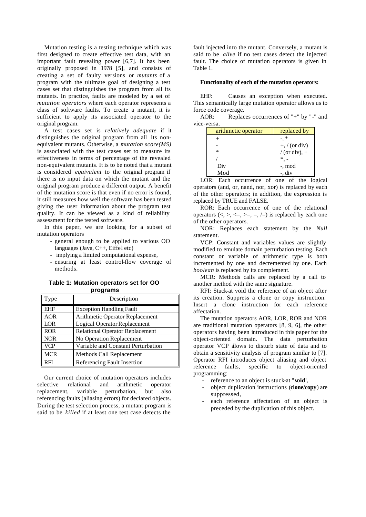Mutation testing is a testing technique which was first designed to create effective test data, with an important fault revealing power [6,7]. It has been originally proposed in 1978 [5], and consists of creating a set of faulty versions or *mutants* of a program with the ultimate goal of designing a test cases set that distinguishes the program from all its mutants. In practice, faults are modeled by a set of *mutation operators* where each operator represents a class of software faults. To create a mutant, it is sufficient to apply its associated operator to the original program.

A test cases set is *relatively adequate* if it distinguishes the original program from all its nonequivalent mutants. Otherwise, a *mutation score(MS)* is associated with the test cases set to measure its effectiveness in terms of percentage of the revealed non-equivalent mutants. It is to be noted that a mutant is considered *equivalent* to the original program if there is no input data on which the mutant and the original program produce a different output. A benefit of the mutation score is that even if no error is found, it still measures how well the software has been tested giving the user information about the program test quality. It can be viewed as a kind of reliability assessment for the tested software.

In this paper, we are looking for a subset of mutation operators

- general enough to be applied to various OO languages (Java, C++, Eiffel etc)
- implying a limited computational expense,
- ensuring at least control-flow coverage of methods.

**Table 1: Mutation operators set for OO programs**

| Type       | Description                            |
|------------|----------------------------------------|
| <b>EHF</b> | <b>Exception Handling Fault</b>        |
| <b>AOR</b> | Arithmetic Operator Replacement        |
| LOR        | <b>Logical Operator Replacement</b>    |
| <b>ROR</b> | <b>Relational Operator Replacement</b> |
| <b>NOR</b> | No Operation Replacement               |
| <b>VCP</b> | Variable and Constant Perturbation     |
| <b>MCR</b> | Methods Call Replacement               |
| RFI        | <b>Referencing Fault Insertion</b>     |

Our current choice of mutation operators includes selective relational and arithmetic operator replacement, variable perturbation, but also referencing faults (aliasing errors) for declared objects. During the test selection process, a mutant program is said to be *killed* if at least one test case detects the

fault injected into the mutant. Conversely, a mutant is said to be *alive* if no test cases detect the injected fault. The choice of mutation operators is given in Table 1.

#### **Functionality of each of the mutation operators:**

EHF: Causes an exception when executed. This semantically large mutation operator allows us to force code coverage.

AOR: Replaces occurrences of "+" by "-" and vice-versa.

| arithmetic operator | replaced by     |  |
|---------------------|-----------------|--|
|                     | ∗               |  |
|                     | $+, / (or div)$ |  |
| *                   | / (or div), $+$ |  |
|                     | $\ast$          |  |
| Div                 | -, mod          |  |
| Mod                 | div.            |  |

LOR: Each occurrence of one of the logical operators (and, or, nand, nor, xor) is replaced by each of the other operators; in addition, the expression is replaced by TRUE and FALSE.

ROR: Each occurrence of one of the relational operators  $\langle \langle \rangle, \rangle, \langle \rangle = \rangle = \rangle = \rangle$  is replaced by each one of the other operators.

NOR: Replaces each statement by the *Null* statement.

VCP: Constant and variables values are slightly modified to emulate domain perturbation testing. Each constant or variable of arithmetic type is both incremented by one and decremented by one. Each *boolean* is replaced by its complement.

MCR: Methods calls are replaced by a call to another method with the same signature.

RFI: Stuck-at void the reference of an object after its creation. Suppress a clone or copy instruction. Insert a clone instruction for each reference affectation.

The mutation operators AOR, LOR, ROR and NOR are traditional mutation operators [8, 9, 6], the other operators having been introduced in this paper for the object-oriented domain. The data perturbation operator VCP allows to disturb state of data and to obtain a sensitivity analysis of program similar to [7]. Operator RFI introduces object aliasing and object reference faults, specific to object-oriented programming:

- reference to an object is stuck-at "**void**",
- object duplication instructions (**clone/copy**) are suppressed,
- each reference affectation of an object is preceded by the duplication of this object.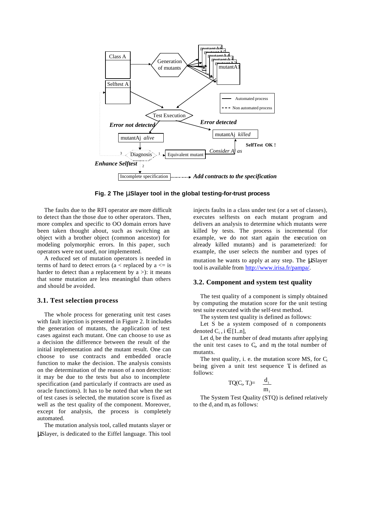

**Fig. 2 The mSlayer tool in the global testing-for-trust process**

The faults due to the RFI operator are more difficult to detect than the those due to other operators. Then, more complex and specific to OO domain errors have been taken thought about, such as switching an object with a brother object (common ancestor) for modeling polymorphic errors. In this paper, such operators were not used, nor implemented.

A reduced set of mutation operators is needed in terms of hard to detect errors ( $a <$  replaced by  $a \leq a$  is harder to detect than a replacement by  $a >$ : it means that some mutation are less meaningful than others and should be avoided.

#### **3.1. Test selection process**

The whole process for generating unit test cases with fault injection is presented in Figure 2. It includes the generation of mutants, the application of test cases against each mutant. One can choose to use as a decision the difference between the result of the initial implementation and the mutant result. One can choose to use contracts and embedded oracle function to make the decision. The analysis consists on the determination of the reason of a non detection: it may be due to the tests but also to incomplete specification (and particularly if contracts are used as oracle functions). It has to be noted that when the set of test cases is selected, the mutation score is fixed as well as the test quality of the component. Moreover, except for analysis, the process is completely automated.

The mutation analysis tool, called mutants slayer or μSlayer, is dedicated to the Eiffel language. This tool

injects faults in a class under test (or a set of classes), executes selftests on each mutant program and delivers an analysis to determine which mutants were killed by tests. The process is incremental (for example, we do not start again the execution on already killed mutants) and is parameterized: for example, the user selects the number and types of mutation he wants to apply at any step. The μSlayer tool is available from http://www.irisa.fr/pampa/.

#### **3.2. Component and system test quality**

The test quality of a component is simply obtained by computing the mutation score for the unit testing test suite executed with the self-test method.

The system test quality is defined as follows:

Let S be a system composed of n components denoted  $C_i$ ,  $i \in [1..n]$ ,

Let  $d_i$  be the number of dead mutants after applying the unit test cases to  $C_i$ , and  $m$  the total number of mutants.

The test quality, i. e. the mutation score MS, for  $C_i$ being given a unit test sequence  $T$  is defined as follows:

$$
TQ(C_i,T_i)\!\! = \quad \frac{d_i}{m_i}
$$

The System Test Quality (STQ) is defined relatively to the  $d_i$  and  $m_i$  as follows: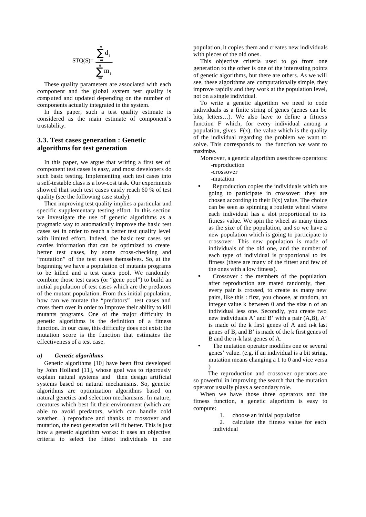$$
STQ(S){=}\ \frac{\displaystyle\sum_{i=1}^n d_i}{\displaystyle\sum_{i=1}^n m_i}
$$

These quality parameters are associated with each component and the global system test quality is computed and updated depending on the number of components actually integrated in the system.

In this paper, such a test quality estimate is considered as the main estimate of component's trustability.

## **3.3. Test cases generation : Genetic algorithms for test generation**

In this paper, we argue that writing a first set of component test cases is easy, and most developers do such basic testing. Implementing such test cases into a self-testable class is a low-cost task. Our experiments showed that such test cases easily reach 60 % of test quality (see the following case study).

Then improving test quality implies a particular and specific supplementary testing effort. In this section we investigate the use of genetic algorithms as a pragmatic way to automatically improve the basic test cases set in order to reach a better test quality level with limited effort. Indeed, the basic test cases set carries information that can be optimized to create better test cases, by some cross-checking and "mutation" of the test cases themselves. So, at the beginning we have a population of mutants programs to be killed and a test cases pool. We randomly combine those test cases (or "gene pool") to build an initial population of test cases which are the predators of the mutant population. From this initial population, how can we mutate the "predators" test cases and cross them over in order to improve their ability to kill mutants programs. One of the major difficulty in genetic algorithms is the definition of a fitness function. In our case, this difficulty does not exist: the mutation score is the function that estimates the effectiveness of a test case.

#### *a) Genetic algorithms*

Genetic algorithms [10] have been first developed by John Holland [11], whose goal was to rigorously explain natural systems and then design artificial systems based on natural mechanisms. So, genetic algorithms are optimization algorithms based on natural genetics and selection mechanisms. In nature, creatures which best fit their environment (which are able to avoid predators, which can handle cold weather…) reproduce and thanks to crossover and mutation, the next generation will fit better. This is just how a genetic algorithm works: it uses an objective criteria to select the fittest individuals in one

population, it copies them and creates new individuals with pieces of the old ones.

This objective criteria used to go from one generation to the other is one of the interesting points of genetic algorithms, but there are others. As we will see, these algorithms are computationally simple, they improve rapidly and they work at the population level, not on a single individual.

To write a genetic algorithm we need to code individuals as a finite string of genes (genes can be bits, letters…). We also have to define a fitness function F which, for every individual among a population, gives  $F(x)$ , the value which is the quality of the individual regarding the problem we want to solve. This corresponds to the function we want to maximize.

Moreover, a genetic algorithm uses three operators:

- -reproduction
- -crossover
- -mutation
- Reproduction copies the individuals which are going to participate in crossover: they are chosen according to their  $F(x)$  value. The choice can be seen as spinning a roulette wheel where each individual has a slot proportional to its fitness value. We spin the wheel as many times as the size of the population, and so we have a new population which is going to participate to crossover. This new population is made of individuals of the old one, and the number of each type of individual is proportional to its fitness (there are many of the fittest and few of the ones with a low fitness).
- Crossover : the members of the population after reproduction are mated randomly, then every pair is crossed, to create as many new pairs, like this : first, you choose, at random, an integer value k between 0 and the size n of an individual less one. Secondly, you create two new individuals A' and B' with a pair (A,B), A' is made of the k first genes of A and n-k last genes of B, and B' is made of the k first genes of B and the n-k last genes of A.
- The mutation operator modifies one or several genes' value. (e.g. if an individual is a bit string, mutation means changing a 1 to 0 and vice versa )

The reproduction and crossover operators are so powerful in improving the search that the mutation operator usually plays a secondary role.

When we have those three operators and the fitness function, a genetic algorithm is easy to compute:

- 1. choose an initial population
- 2. calculate the fitness value for each individual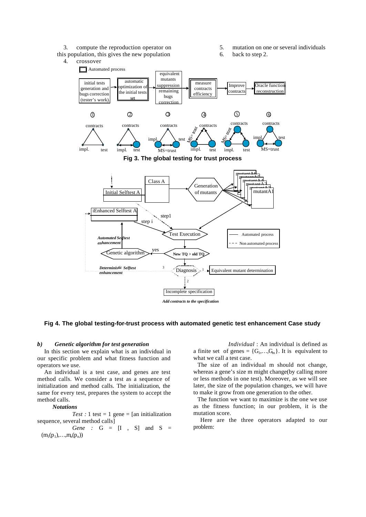

yes

3

#### **Fig 4. The global testing-for-trust process with automated genetic test enhancement Case study**

Incomplete specification 2

*Add contracts to the specification*

Test Execution

**New TQ > old TQ**

Diagnosis  $\rightarrow$   $\blacksquare$   $\blacktriangleright$  Equivalent mutant determination

#### *b) Genetic algorithm for test generation*

In this section we explain what is an individual in our specific problem and what fitness function and operators we use.

*Automated Selftest*  $enhancement$ 

*Deterministic Selftest enhancement*

Genetic algorithm

An individual is a test case, and genes are test method calls. We consider a test as a sequence of initialization and method calls. The initialization, the same for every test, prepares the system to accept the method calls.

#### *Notations*

 $Test: 1 test = 1 gene = [an initialization]$ sequence, several method calls]

*Gene* :  $G = [I, S]$  and  $S =$  $(m_1(p_1),...,m_n(p_n))$ 

*Individual* : An individual is defined as a finite set of genes =  $\{G_1,...,G_m\}$ . It is equivalent to what we call a test case.

Automated process Non automated process

The size of an individual m should not change, whereas a gene's size m might change(by calling more or less methods in one test). Moreover, as we will see later, the size of the population changes, we will have to make it grow from one generation to the other.

The function we want to maximize is the one we use as the fitness function; in our problem, it is the mutation score.

Here are the three operators adapted to our problem:

#### 5. mutation on one or several individuals

contracts

MS=trust

6. back to step 2.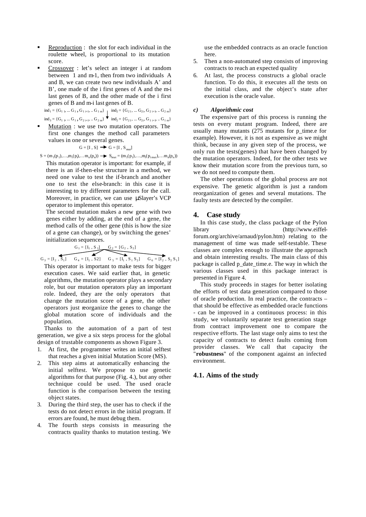- Reproduction : the slot for each individual in the roulette wheel, is proportional to its mutation score.
- Crossover : let's select an integer i at random between 1 and m-1, then from two individuals A and B, we can create two new individuals A' and B', one made of the i first genes of A and the m-i last genes of B, and the other made of the i first genes of B and m-i last genes of B.

$$
ind_1 = \{G_{1\ l}, ... G_{1\ l}\ G_{1\ i+1}, ... G_{1\ m}\} \quad | \quad ind_2 = \{G_{2\ l}, ... G_{2\ i}, G_{2\ i+1} \ ... G_{2\ m}\}
$$

 $\text{ind}_3 = \{G_{1,1}, \dots G_{1,i}, G_{2,i+1}, \dots G_{2,m}\}$   $\blacksquare$   $\text{ind}_2 = \{G_{2,1}, \dots G_{2,i}, G_{1,i+1}, \dots G_{1,m}\}$ ß Mutation : we use two mutation operators. The first one changes the method call parameters values in one or several genes.

$$
\mathrm{G} = [\mathrm{I}\;,\,\mathrm{S}] \implies \mathrm{G} = [\mathrm{I}\;,\,\mathrm{S}_{\mathrm{mut}}]
$$

 $S = (m_1(p_1), ..., m_i(p_i), ..., m_n(p_n)) \rightarrow S_{mut} = (m_1(p_1), ..., m_i(p_i), ..., m_n(p_n))$ This mutation operator is important: for example, if there is an if-then-else structure in a method, we need one value to test the if-branch and another one to test the else-branch: in this case it is interesting to try different parameters for the call. Moreover, in practice, we can use μSlayer's VCP operator to implement this operator.

The second mutation makes a new gene with two genes either by adding, at the end of a gene, the method calls of the other gene (this is how the size of a gene can change), or by switching the genes' initialization sequences.

$$
G_1 = [I_1, S_1]
$$
  $G_2 = [G_2, S_2]$ 

 $G_3 = [I_2, \dot{S}_1]$   $G_4 = [I_1, S_2]$   $G_5 = [I_1, S_1 S_2]$   $G_6 = [I_2, S_2 S_1]$ This operator is important to make tests for bigger execution cases. We said earlier that, in genetic algorithms, the mutation operator plays a secondary role, but our mutation operators play an important role. Indeed, they are the only operators that change the mutation score of a gene, the other operators just reorganize the genes to change the global mutation score of individuals and the population.

Thanks to the automation of a part of test generation, we give a six steps process for the global design of trustable components as shown Figure 3.

- 1. At first, the programmer writes an initial selftest that reaches a given initial Mutation Score (MS).
- 2. This step aims at automatically enhancing the initial selftest. We propose to use genetic algorithms for that purpose (Fig. 4.), but any other technique could be used. The used oracle function is the comparison between the testing object states.
- 3. During the third step, the user has to check if the tests do not detect errors in the initial program. If errors are found, he must debug them.
- 4. The fourth steps consists in measuring the contracts quality thanks to mutation testing. We

use the embedded contracts as an oracle function here.

- 5. Then a non-automated step consists of improving contracts to reach an expected quality
- 6. At last, the process constructs a global oracle function. To do this, it executes all the tests on the initial class, and the object's state after execution is the oracle value.

### *c) Algorithmic cost*

The expensive part of this process is running the tests on every mutant program. Indeed, there are usually many mutants (275 mutants for p\_time.e for example). However, it is not as expensive as we might think, because in any given step of the process, we only run the tests(genes) that have been changed by the mutation operators. Indeed, for the other tests we know their mutation score from the previous turn, so we do not need to compute them.

The other operations of the global process are not expensive. The genetic algorithm is just a random reorganization of genes and several mutations. The faulty tests are detected by the compiler.

## **4. Case study**

In this case study, the class package of the Pylon library (http://www.eiffelforum.org/archive/arnaud/pylon.htm) relating to the management of time was made self-testable. These classes are complex enough to illustrate the approach and obtain interesting results. The main class of this package is called p\_date\_time.e. The way in which the various classes used in this package interact is presented in Figure 4.

This study proceeds in stages for better isolating the efforts of test data generation compared to those of oracle production. In real practice, the contracts – that should be effective as embedded oracle functions - can be improved in a continuous process: in this study, we voluntarily separate test generation stage from contract improvement one to compare the respective efforts. The last stage only aims to test the capacity of contracts to detect faults coming from provider classes. We call that capacity the "**robustness**" of the component against an infected environment.

## **4.1. Aims of the study**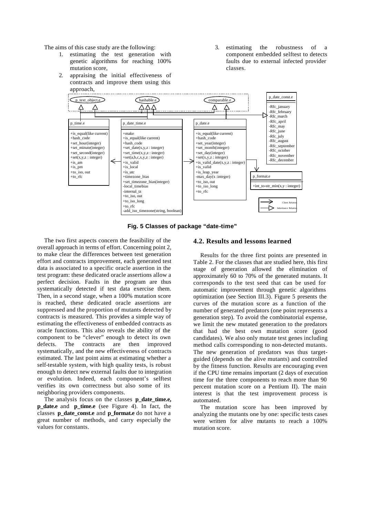The aims of this case study are the following:

- 1. estimating the test generation with genetic algorithms for reaching 100% mutation score,
- 2. appraising the initial effectiveness of contracts and improve them using this approach,
- 3. estimating the robustness of component embedded selftest to detects faults due to external infected provider classes.



**Fig. 5 Classes of package "date-time"**

The two first aspects concern the feasibility of the overall approach in terms of effort. Concerning point 2, to make clear the differences between test generation effort and contracts improvement, each generated test data is associated to a specific oracle assertion in the test program: these dedicated oracle assertions allow a perfect decision. Faults in the program are thus systematically detected if test data exercise them. Then, in a second stage, when a 100% mutation score is reached, these dedicated oracle assertions are suppressed and the proportion of mutants detected by contracts is measured. This provides a simple way of estimating the effectiveness of embedded contracts as oracle functions. This also reveals the ability of the component to be "clever" enough to detect its own defects. The contracts are then improved systematically, and the new effectiveness of contracts estimated. The last point aims at estimating whether a self-testable system, with high quality tests, is robust enough to detect new external faults due to integration or evolution. Indeed, each component's selftest verifies its own correctness but also some of its neighboring providers components.

The analysis focus on the classes **p\_date\_time.e, p\_date.e** and **p\_time.e** (see Figure 4). In fact, the classes **p\_date\_const.e** and **p\_format.e** do not have a great number of methods, and carry especially the values for constants.

### **4.2. Results and lessons learned**

Results for the three first points are presented in Table 2. For the classes that are studied here, this first stage of generation allowed the elimination of approximately 60 to 70% of the generated mutants. It corresponds to the test seed that can be used for automatic improvement through genetic algorithms optimization (see Section III.3). Figure 5 presents the curves of the mutation score as a function of the number of generated predators (one point represents a generation step). To avoid the combinatorial expense, we limit the new mutated generation to the predators that had the best own mutation score (good candidates). We also only mutate test genes including method calls corresponding to non-detected mutants. The new generation of predators was thus targetguided (depends on the alive mutants) and controlled by the fitness function. Results are encouraging even if the CPU time remains important (2 days of execution time for the three components to reach more than 90 percent mutation score on a Pentium II). The main interest is that the test improvement process is automated.

The mutation score has been improved by analyzing the mutants one by one: specific tests cases were written for alive mutants to reach a 100% mutation score.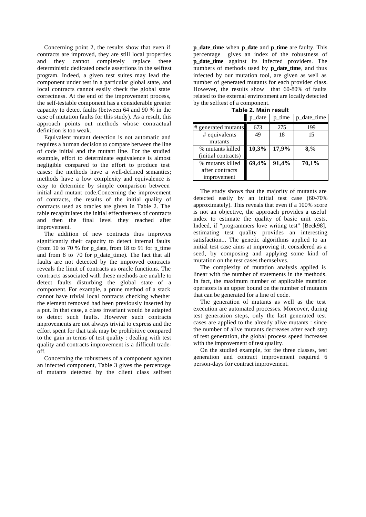Concerning point 2, the results show that even if contracts are improved, they are still local properties and they cannot completely replace these deterministic dedicated oracle assertions in the selftest program. Indeed, a given test suites may lead the component under test in a particular global state, and local contracts cannot easily check the global state correctness. At the end of the improvement process, the self-testable component has a considerable greater capacity to detect faults (between 64 and 90 % in the case of mutation faults for this study). As a result, this approach points out methods whose contractual definition is too weak.

Equivalent mutant detection is not automatic and requires a human decision to compare between the line of code initial and the mutant line. For the studied example, effort to determinate equivalence is almost negligible compared to the effort to produce test cases: the methods have a well-defined semantics; methods have a low complexity and equivalence is easy to determine by simple comparison between initial and mutant code.Concerning the improvement of contracts, the results of the initial quality of contracts used as oracles are given in Table 2. The table recapitulates the initial effectiveness of contracts and then the final level they reached after improvement.

The addition of new contracts thus improves significantly their capacity to detect internal faults (from 10 to 70  $\%$  for p\_date, from 18 to 91 for p\_time and from 8 to 70 for p\_date\_time). The fact that all faults are not detected by the improved contracts reveals the limit of contracts as oracle functions. The contracts associated with these methods are unable to detect faults disturbing the global state of a component. For example, a prune method of a stack cannot have trivial local contracts checking whether the element removed had been previously inserted by a put. In that case, a class invariant would be adapted to detect such faults. However such contracts improvements are not always trivial to express and the effort spent for that task may be prohibitive compared to the gain in terms of test quality : dealing with test quality and contracts improvement is a difficult tradeoff.

Concerning the robustness of a component against an infected component, Table 3 gives the percentage of mutants detected by the client class selftest

**p\_date\_time** when **p\_date** and **p\_time** are faulty. This percentage gives an index of the robustness of **p\_date\_time** against its infected providers. The numbers of methods used by **p\_date\_time**, and thus infected by our mutation tool, are given as well as number of generated mutants for each provider class. However, the results show that 60-80% of faults related to the external environment are locally detected by the selftest of a component.

|                     | p_date | p time | p_date_time |  |  |
|---------------------|--------|--------|-------------|--|--|
| # generated mutants | 673    | 275    | 199         |  |  |
| # equivalents       | 49     | 18     | 15          |  |  |
| mutants             |        |        |             |  |  |
| % mutants killed    | 10,3%  | 17,9%  | 8,%         |  |  |
| (initial contracts) |        |        |             |  |  |
| % mutants killed    | 69,4%  | 91,4%  | 70,1%       |  |  |
| after contracts     |        |        |             |  |  |
| improvement         |        |        |             |  |  |

**Table 2. Main result** 

The study shows that the majority of mutants are detected easily by an initial test case (60-70% approximately). This reveals that even if a 100% score is not an objective, the approach provides a useful index to estimate the quality of basic unit tests. Indeed, if "programmers love writing test" [Beck98], estimating test quality provides an interesting satisfaction... The genetic algorithms applied to an initial test case aims at improving it, considered as a seed, by composing and applying some kind of mutation on the test cases themselves.

The complexity of mutation analysis applied is linear with the number of statements in the methods. In fact, the maximum number of applicable mutation operators is an upper bound on the number of mutants that can be generated for a line of code.

The generation of mutants as well as the test execution are automated processes. Moreover, during test generation steps, only the last generated test cases are applied to the already alive mutants : since the number of alive mutants decreases after each step of test generation, the global process speed increases with the improvement of test quality.

On the studied example, for the three classes, test generation and contract improvement required 6 person-days for contract improvement.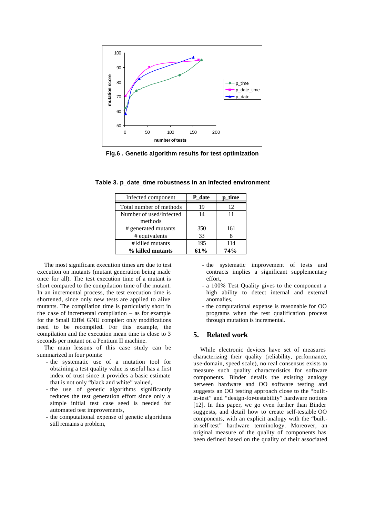

**Fig.6 . Genetic algorithm results for test optimization**

| Infected component      | P date | p time |
|-------------------------|--------|--------|
| Total number of methods | 19     | 12     |
| Number of used/infected | 14     | 11     |
| methods                 |        |        |
| # generated mutants     | 350    | 161    |
| # equivalents           | 33     |        |
| # killed mutants        | 195    | 114    |
| % killed mutants        | 61%    | 74%    |

**Table 3. p\_date\_time robustness in an infected environment**

The most significant execution times are due to test execution on mutants (mutant generation being made once for all). The test execution time of a mutant is short compared to the compilation time of the mutant. In an incremental process, the test execution time is shortened, since only new tests are applied to alive mutants. The compilation time is particularly short in the case of incremental compilation – as for example for the Small Eiffel GNU compiler: only modifications need to be recompiled. For this example, the compilation and the execution mean time is close to 3 seconds per mutant on a Pentium II machine.

The main lessons of this case study can be summarized in four points:

- the systematic use of a mutation tool for obtaining a test quality value is useful has a first index of trust since it provides a basic estimate that is not only "black and white" valued,
- the use of genetic algorithms significantly reduces the test generation effort since only a simple initial test case seed is needed for automated test improvements,
- the computational expense of genetic algorithms still remains a problem,
- the systematic improvement of tests and contracts implies a significant supplementary effort,
- a 100% Test Quality gives to the component a high ability to detect internal and external anomalies,
- the computational expense is reasonable for OO programs when the test qualification process through mutation is incremental.

## **5. Related work**

While electronic devices have set of measures characterizing their quality (reliability, performance, use-domain, speed scale), no real consensus exists to measure such quality characteristics for software components. Binder details the existing analogy between hardware and OO software testing and suggests an OO testing approach close to the "builtin-test" and "design-for-testability" hardware notions [12]. In this paper, we go even further than Binder suggests, and detail how to create self-testable OO components, with an explicit analogy with the "builtin-self-test" hardware terminology. Moreover, an original measure of the quality of components has been defined based on the quality of their associated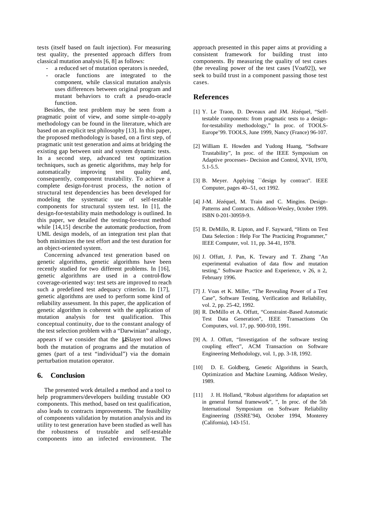tests (itself based on fault injection). For measuring test quality, the presented approach differs from classical mutation analysis [6, 8] as follows:

- a reduced set of mutation operators is needed,
- oracle functions are integrated to the component, while classical mutation analysis uses differences between original program and mutant behaviors to craft a pseudo-oracle function.

Besides, the test problem may be seen from a pragmatic point of view, and some simple-to-apply methodology can be found in the literature, which are based on an explicit test philosophy [13]. In this paper, the proposed methodology is based, on a first step, of pragmatic unit test generation and aims at bridging the existing gap between unit and system dynamic tests. In a second step, advanced test optimization techniques, such as genetic algorithms, may help for automatically improving test quality and, consequently, component trustability. To achieve a complete design-for-trust process, the notion of structural test dependencies has been developed for modeling the systematic use of self-testable components for structural system test. In [1], the design-for-testability main methodology is outlined. In this paper, we detailed the testing-for-trust method while [14,15] describe the automatic production, from UML design models, of an integration test plan that both minimizes the test effort and the test duration for an object-oriented system.

Concerning advanced test generation based on genetic algorithms, genetic algorithms have been recently studied for two different problems. In [16], genetic algorithms are used in a control-flow coverage-oriented way: test sets are improved to reach such a predefined test adequacy criterion. In [17], genetic algorithms are used to perform some kind of reliability assessment. In this paper, the application of genetic algorithm is coherent with the application of mutation analysis for test qualification. This conceptual continuity, due to the constant analogy of the test selection problem with a "Darwinian" analogy, appears if we consider that the μSlayer tool allows both the mutation of programs and the mutation of genes (part of a test "individual") via the domain perturbation mutation operator.

## **6. Conclusion**

The presented work detailed a method and a tool to help programmers/developers building trustable OO components. This method, based on test qualification, also leads to contracts improvements. The feasibility of components validation by mutation analysis and its utility to test generation have been studied as well has the robustness of trustable and self-testable components into an infected environment. The

approach presented in this paper aims at providing a consistent framework for building trust into components. By measuring the quality of test cases (the revealing power of the test cases [Voa92]), we seek to build trust in a component passing those test cases.

## **References**

- [1] Y. Le Traon, D. Deveaux and JM. Jézéquel, "Selftestable components: from pragmatic tests to a designfor-testability methodology," In proc. of TOOLS-Europe'99. TOOLS, June 1999, Nancy (France) 96-107.
- [2] William E. Howden and Yudong Huang, "Software Trustability", In proc. of the IEEE Symposium on Adaptive processes- Decision and Control, XVII, 1970, 5.1-5.5.
- [3] B. Meyer. Applying ``design by contract''. IEEE Computer, pages 40--51, oct 1992.
- [4] J-M. Jézéquel, M. Train and C. Mingins. Design-Patterns and Contracts. Addison-Wesley, 0ctober 1999. ISBN 0-201-30959-9.
- [5] R. DeMillo, R. Lipton, and F. Sayward, "Hints on Test Data Selection : Help For The Practicing Programmer," IEEE Computer, vol. 11, pp. 34-41, 1978.
- [6] J. Offutt, J. Pan, K. Tewary and T. Zhang "An experimental evaluation of data flow and mutation testing," Software Practice and Experience, v 26, n 2, February 1996.
- [7] J. Voas et K. Miller, "The Revealing Power of a Test Case", Software Testing, Verification and Reliability, vol. 2, pp. 25-42, 1992.
- [8] R. DeMillo et A. Offutt, "Constraint-Based Automatic Test Data Generation", IEEE Transactions On Computers, vol. 17, pp. 900-910, 1991.
- [9] A. J. Offutt, "Investigation of the software testing coupling effect", ACM Transaction on Software Engineering Methodology, vol. 1, pp. 3-18, 1992.
- [10] D. E. Goldberg, Genetic Algorithms in Search, Optimization and Machine Learning, Addison Wesley, 1989.
- [11] J. H. Holland, "Robust algorithms for adaptation set in general formal framework", ", In proc. of the 5th International Symposium on Software Reliability Engineering (ISSRE'94), October 1994, Monterey (California), 143-151.